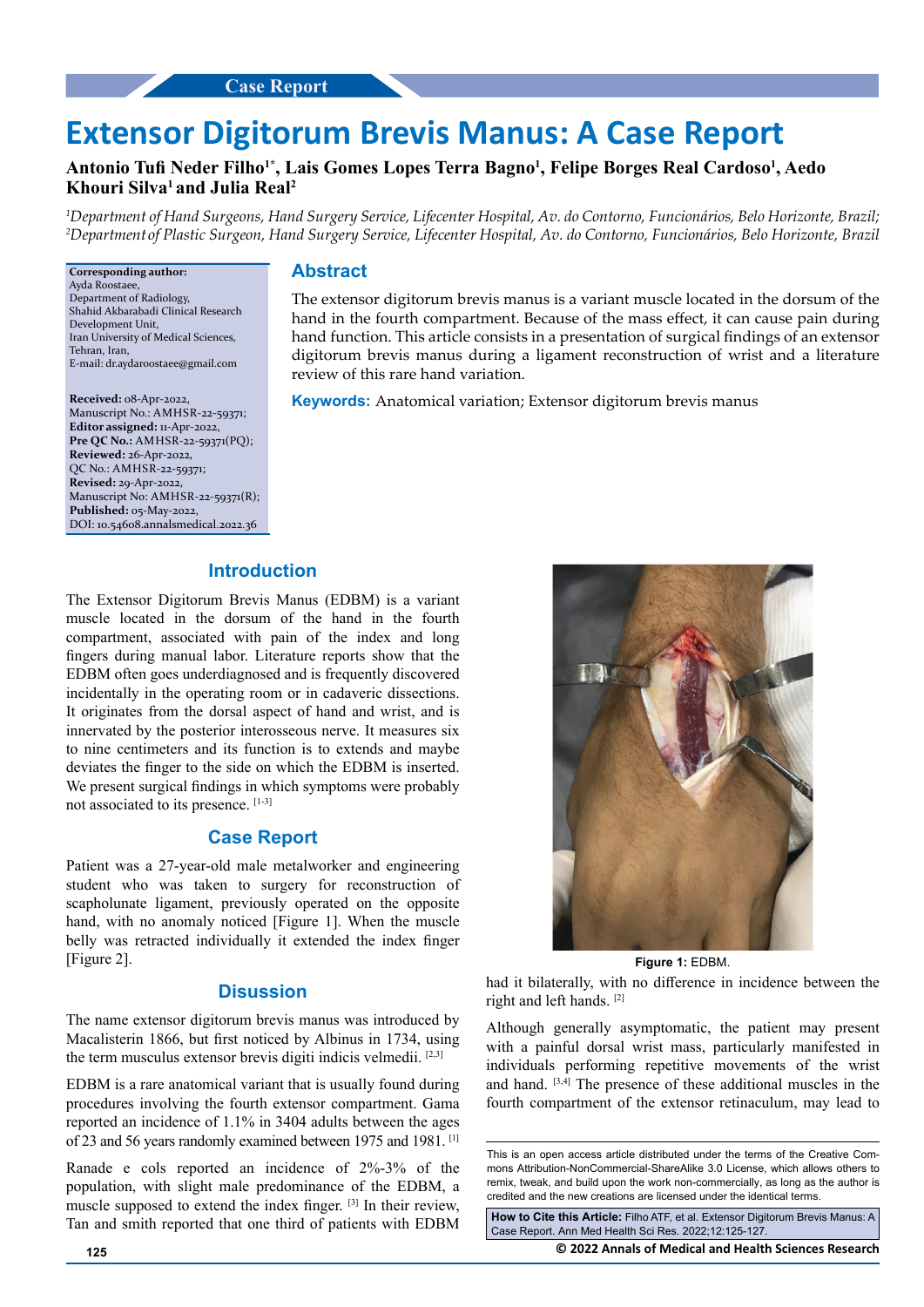# **Extensor Digitorum Brevis Manus: A Case Report**

## **Antonio Tufi Neder Filho1\*, Lais Gomes Lopes Terra Bagno<sup>1</sup> , Felipe Borges Real Cardoso<sup>1</sup> , Aedo Khouri Silva<sup>1</sup>and Julia Real<sup>2</sup>**

*1 Department of Hand Surgeons, Hand Surgery Service, Lifecenter Hospital, Av. do Contorno, Funcionários, Belo Horizonte, Brazil; 2 Department of Plastic Surgeon, Hand Surgery Service, Lifecenter Hospital, Av. do Contorno, Funcionários, Belo Horizonte, Brazil*

**Corresponding author:** Ayda Roostaee, Department of Radiology, Shahid Akbarabadi Clinical Research Development Unit, Iran University of Medical Sciences, Tehran, Iran, E-mail: dr.aydaroostaee@gmail.com

**Received:** 08-Apr-2022, Manuscript No.: AMHSR-22-59371; **Editor assigned:** 11-Apr-2022, **Pre QC No.:** AMHSR-22-59371(PQ); **Reviewed:** 26-Apr-2022, QC No.: AMHSR-22-59371; **Revised:** 29-Apr-2022, Manuscript No: AMHSR-22-59371(R); **Published:** 05-May-2022, DOI: 10.54608.annalsmedical.2022.36

#### **Abstract**

The extensor digitorum brevis manus is a variant muscle located in the dorsum of the hand in the fourth compartment. Because of the mass effect, it can cause pain during hand function. This article consists in a presentation of surgical findings of an extensor digitorum brevis manus during a ligament reconstruction of wrist and a literature review of this rare hand variation.

**Keywords:** Anatomical variation; Extensor digitorum brevis manus

### **Introduction**

The Extensor Digitorum Brevis Manus (EDBM) is a variant muscle located in the dorsum of the hand in the fourth compartment, associated with pain of the index and long fingers during manual labor. Literature reports show that the EDBM often goes underdiagnosed and is frequently discovered incidentally in the operating room or in cadaveric dissections. It originates from the dorsal aspect of hand and wrist, and is innervated by the posterior interosseous nerve. It measures six to nine centimeters and its function is to extends and maybe deviates the finger to the side on which the EDBM is inserted. We present surgical findings in which symptoms were probably not associated to its presence. [1-3]

#### **Case Report**

Patient was a 27-year-old male metalworker and engineering student who was taken to surgery for reconstruction of scapholunate ligament, previously operated on the opposite hand, with no anomaly noticed [Figure 1]. When the muscle belly was retracted individually it extended the index finger [Figure 2].

### **Disussion**

The name extensor digitorum brevis manus was introduced by Macalisterin 1866, but first noticed by Albinus in 1734, using the term musculus extensor brevis digiti indicis velmedii. [2,3]

EDBM is a rare anatomical variant that is usually found during procedures involving the fourth extensor compartment. Gama reported an incidence of 1.1% in 3404 adults between the ages of 23 and 56 years randomly examined between 1975 and 1981. [1]

Ranade e cols reported an incidence of 2%-3% of the population, with slight male predominance of the EDBM, a muscle supposed to extend the index finger. [3] In their review, Tan and smith reported that one third of patients with EDBM



**Figure 1:** EDBM.

had it bilaterally, with no difference in incidence between the right and left hands. [2]

Although generally asymptomatic, the patient may present with a painful dorsal wrist mass, particularly manifested in individuals performing repetitive movements of the wrist and hand. [3,4] The presence of these additional muscles in the fourth compartment of the extensor retinaculum, may lead to

**How to Cite this Article:** Filho ATF, et al. Extensor Digitorum Brevis Manus: A Case Report. Ann Med Health Sci Res. 2022;12:125-127.

**125 © 2022 Annals of Medical and Health Sciences Research** 

This is an open access article distributed under the terms of the Creative Commons Attribution-NonCommercial-ShareAlike 3.0 License, which allows others to remix, tweak, and build upon the work non‑commercially, as long as the author is credited and the new creations are licensed under the identical terms.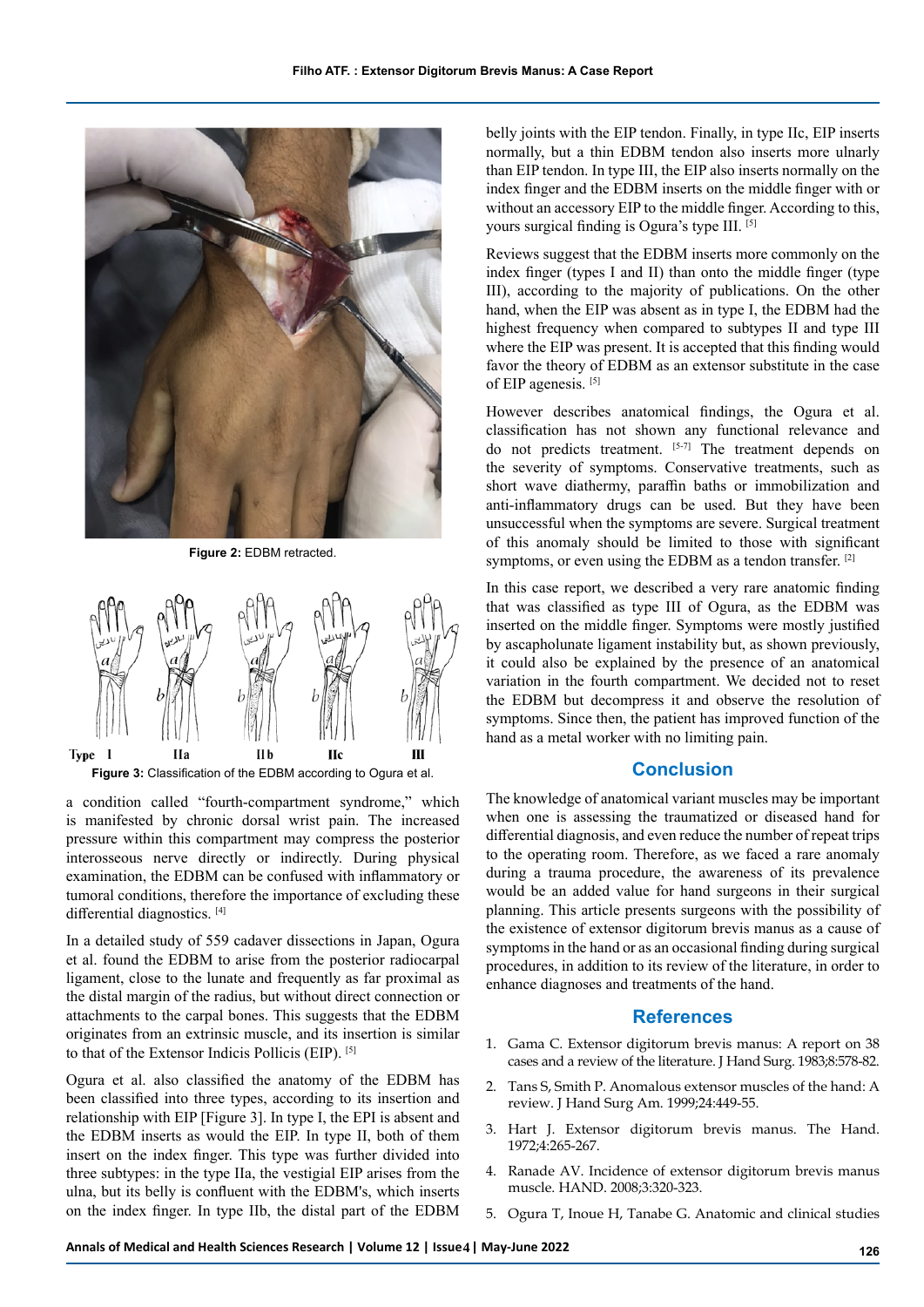

**Figure 2:** EDBM retracted.



**Figure 3:** Classification of the EDBM according to Ogura et al.

a condition called "fourth-compartment syndrome," which is manifested by chronic dorsal wrist pain. The increased pressure within this compartment may compress the posterior interosseous nerve directly or indirectly. During physical examination, the EDBM can be confused with inflammatory or tumoral conditions, therefore the importance of excluding these differential diagnostics. [4]

In a detailed study of 559 cadaver dissections in Japan, Ogura et al. found the EDBM to arise from the posterior radiocarpal ligament, close to the lunate and frequently as far proximal as the distal margin of the radius, but without direct connection or attachments to the carpal bones. This suggests that the EDBM originates from an extrinsic muscle, and its insertion is similar to that of the Extensor Indicis Pollicis (EIP). [5]

Ogura et al. also classified the anatomy of the EDBM has been classified into three types, according to its insertion and relationship with EIP [Figure 3]. In type I, the EPI is absent and the EDBM inserts as would the EIP. In type II, both of them insert on the index finger. This type was further divided into three subtypes: in the type IIa, the vestigial EIP arises from the ulna, but its belly is confluent with the EDBM's, which inserts on the index finger. In type IIb, the distal part of the EDBM

belly joints with the EIP tendon. Finally, in type IIc, EIP inserts normally, but a thin EDBM tendon also inserts more ulnarly than EIP tendon. In type III, the EIP also inserts normally on the index finger and the EDBM inserts on the middle finger with or without an accessory EIP to the middle finger. According to this, yours surgical finding is Ogura's type III. [5]

Reviews suggest that the EDBM inserts more commonly on the index finger (types I and II) than onto the middle finger (type III), according to the majority of publications. On the other hand, when the EIP was absent as in type I, the EDBM had the highest frequency when compared to subtypes II and type III where the EIP was present. It is accepted that this finding would favor the theory of EDBM as an extensor substitute in the case of EIP agenesis. [5]

However describes anatomical findings, the Ogura et al. classification has not shown any functional relevance and do not predicts treatment. [5-7] The treatment depends on the severity of symptoms. Conservative treatments, such as short wave diathermy, paraffin baths or immobilization and anti-inflammatory drugs can be used. But they have been unsuccessful when the symptoms are severe. Surgical treatment of this anomaly should be limited to those with significant symptoms, or even using the EDBM as a tendon transfer. [2]

In this case report, we described a very rare anatomic finding that was classified as type III of Ogura, as the EDBM was inserted on the middle finger. Symptoms were mostly justified by ascapholunate ligament instability but, as shown previously, it could also be explained by the presence of an anatomical variation in the fourth compartment. We decided not to reset the EDBM but decompress it and observe the resolution of symptoms. Since then, the patient has improved function of the hand as a metal worker with no limiting pain.

#### **Conclusion**

The knowledge of anatomical variant muscles may be important when one is assessing the traumatized or diseased hand for differential diagnosis, and even reduce the number of repeat trips to the operating room. Therefore, as we faced a rare anomaly during a trauma procedure, the awareness of its prevalence would be an added value for hand surgeons in their surgical planning. This article presents surgeons with the possibility of the existence of extensor digitorum brevis manus as a cause of symptoms in the hand or as an occasional finding during surgical procedures, in addition to its review of the literature, in order to enhance diagnoses and treatments of the hand.

#### **References**

- 1. Gama C. [Extensor digitorum brevis manus: A report on 38](https://linkinghub.elsevier.com/retrieve/pii/S0363502383801300)  [cases and a review of the literature](https://linkinghub.elsevier.com/retrieve/pii/S0363502383801300). J Hand Surg. 1983;8:578-82.
- 2. Tans S, Smith P. [Anomalous extensor muscles of the hand: A](https://www.jhandsurg.org/article/S0363-5023(99)06271-1/fulltext)  [review.](https://www.jhandsurg.org/article/S0363-5023(99)06271-1/fulltext) J Hand Surg Am. 1999;24:449-55.
- 3. Hart J. [Extensor digitorum brevis manus](https://www.sciencedirect.com/science/article/abs/pii/S0072968X72800135). The Hand. 1972;4:265-267.
- 4. Ranade AV. [Incidence of extensor digitorum brevis manus](https://journals.sagepub.com/doi/10.1007/s11552-008-9111-5)  [muscle.](https://journals.sagepub.com/doi/10.1007/s11552-008-9111-5) HAND. 2008;3:320-323.
- 5. Ogura T, Inoue H, Tanabe G. [Anatomic and clinical studies](https://www.jhandsurg.org/article/S0363-5023(87)80171-5/pdf)